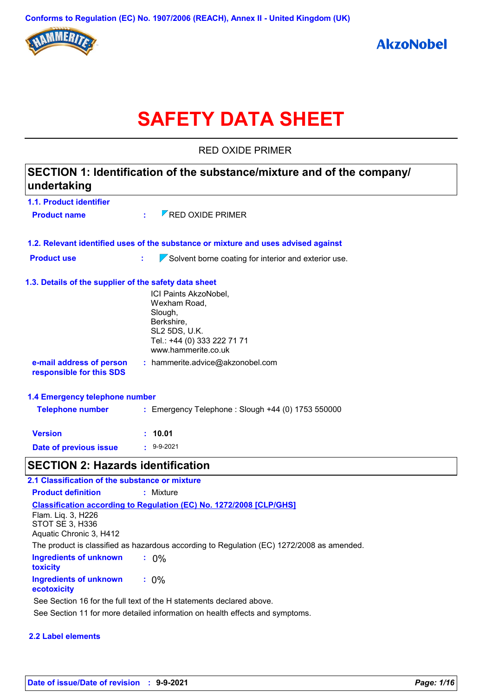

# **SAFETY DATA SHEET**

RED OXIDE PRIMER

| SECTION 1: Identification of the substance/mixture and of the company/<br>undertaking |                                                                                                                                       |  |
|---------------------------------------------------------------------------------------|---------------------------------------------------------------------------------------------------------------------------------------|--|
| 1.1. Product identifier                                                               |                                                                                                                                       |  |
| <b>Product name</b>                                                                   | $\nabla$ RED OXIDE PRIMER<br>÷.                                                                                                       |  |
|                                                                                       | 1.2. Relevant identified uses of the substance or mixture and uses advised against                                                    |  |
| <b>Product use</b>                                                                    | t,<br>$\sqrt{\ }$ Solvent borne coating for interior and exterior use.                                                                |  |
| 1.3. Details of the supplier of the safety data sheet                                 |                                                                                                                                       |  |
|                                                                                       | ICI Paints AkzoNobel,<br>Wexham Road,<br>Slough,<br>Berkshire,<br>SL2 5DS, U.K.<br>Tel.: +44 (0) 333 222 71 71<br>www.hammerite.co.uk |  |
| e-mail address of person<br>responsible for this SDS                                  | : hammerite.advice@akzonobel.com                                                                                                      |  |
| 1.4 Emergency telephone number                                                        |                                                                                                                                       |  |
| <b>Telephone number</b>                                                               | : Emergency Telephone : Slough +44 (0) 1753 550000                                                                                    |  |
| <b>Version</b>                                                                        | : 10.01                                                                                                                               |  |
| Date of previous issue                                                                | $\cdot$ 9-9-2021                                                                                                                      |  |
| <b>SECTION 2: Hazards identification</b>                                              |                                                                                                                                       |  |
| 2.1 Classification of the substance or mixture                                        |                                                                                                                                       |  |
| <b>Product definition</b>                                                             | : Mixture                                                                                                                             |  |
| Flam. Liq. 3, H226                                                                    | <b>Classification according to Regulation (EC) No. 1272/2008 [CLP/GHS]</b>                                                            |  |

STOT SE 3, H336 Aquatic Chronic 3, H412

The product is classified as hazardous according to Regulation (EC) 1272/2008 as amended.

| Ingredients of unknown<br>toxicity    | $: 0\%$ |
|---------------------------------------|---------|
| Ingredients of unknown<br>ecotoxicity | $: 0\%$ |

See Section 16 for the full text of the H statements declared above.

See Section 11 for more detailed information on health effects and symptoms.

#### **2.2 Label elements**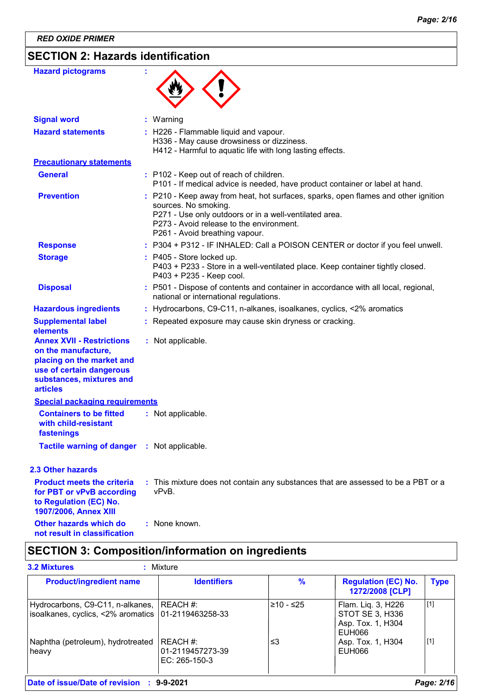# **SECTION 2: Hazards identification**

| <b>Hazard pictograms</b>                                                                                                                                                    |                                                                                                                                                                                                                                                    |
|-----------------------------------------------------------------------------------------------------------------------------------------------------------------------------|----------------------------------------------------------------------------------------------------------------------------------------------------------------------------------------------------------------------------------------------------|
| <b>Signal word</b>                                                                                                                                                          | : Warning                                                                                                                                                                                                                                          |
| <b>Hazard statements</b>                                                                                                                                                    | : H226 - Flammable liquid and vapour.<br>H336 - May cause drowsiness or dizziness.<br>H412 - Harmful to aquatic life with long lasting effects.                                                                                                    |
| <b>Precautionary statements</b>                                                                                                                                             |                                                                                                                                                                                                                                                    |
| <b>General</b>                                                                                                                                                              | : P102 - Keep out of reach of children.<br>P101 - If medical advice is needed, have product container or label at hand.                                                                                                                            |
| <b>Prevention</b>                                                                                                                                                           | : P210 - Keep away from heat, hot surfaces, sparks, open flames and other ignition<br>sources. No smoking.<br>P271 - Use only outdoors or in a well-ventilated area.<br>P273 - Avoid release to the environment.<br>P261 - Avoid breathing vapour. |
| <b>Response</b>                                                                                                                                                             | : P304 + P312 - IF INHALED: Call a POISON CENTER or doctor if you feel unwell.                                                                                                                                                                     |
| <b>Storage</b>                                                                                                                                                              | : P405 - Store locked up.<br>P403 + P233 - Store in a well-ventilated place. Keep container tightly closed.<br>P403 + P235 - Keep cool.                                                                                                            |
| <b>Disposal</b>                                                                                                                                                             | : P501 - Dispose of contents and container in accordance with all local, regional,<br>national or international regulations.                                                                                                                       |
| <b>Hazardous ingredients</b>                                                                                                                                                | : Hydrocarbons, C9-C11, n-alkanes, isoalkanes, cyclics, <2% aromatics                                                                                                                                                                              |
| <b>Supplemental label</b>                                                                                                                                                   | : Repeated exposure may cause skin dryness or cracking.                                                                                                                                                                                            |
| elements<br><b>Annex XVII - Restrictions</b><br>on the manufacture,<br>placing on the market and<br>use of certain dangerous<br>substances, mixtures and<br><b>articles</b> | : Not applicable.                                                                                                                                                                                                                                  |
| <b>Special packaging requirements</b>                                                                                                                                       |                                                                                                                                                                                                                                                    |
| <b>Containers to be fitted</b><br>with child-resistant<br>fastenings                                                                                                        | : Not applicable.                                                                                                                                                                                                                                  |
| <b>Tactile warning of danger : Not applicable.</b>                                                                                                                          |                                                                                                                                                                                                                                                    |
| <b>2.3 Other hazards</b>                                                                                                                                                    |                                                                                                                                                                                                                                                    |
| <b>Product meets the criteria</b><br>for PBT or vPvB according<br>to Regulation (EC) No.<br>1907/2006, Annex XIII                                                           | : This mixture does not contain any substances that are assessed to be a PBT or a<br>vPvB.                                                                                                                                                         |
| Other hazards which do<br>not result in classification                                                                                                                      | : None known.                                                                                                                                                                                                                                      |

# **SECTION 3: Composition/information on ingredients**

| Hydrocarbons, C9-C11, n-alkanes, REACH #:<br>isoalkanes, cyclics, <2% aromatics 01-2119463258-33 | $≥10 - ≤25$ | Flam. Liq. 3, H226                             | [1] |
|--------------------------------------------------------------------------------------------------|-------------|------------------------------------------------|-----|
|                                                                                                  |             | STOT SE 3, H336<br>Asp. Tox. 1, H304<br>EUH066 |     |
| Naphtha (petroleum), hydrotreated<br>REACH #:<br>01-2119457273-39<br>heavy<br>EC: $265-150-3$    | ≤3          | Asp. Tox. 1, H304<br>EUH066                    | [1] |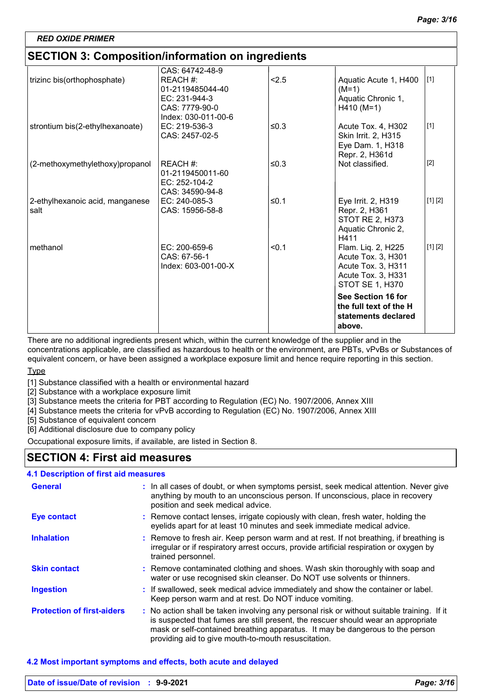# **SECTION 3: Composition/information on ingredients**

| trizinc bis(orthophosphate)             | CAS: 64742-48-9<br>REACH #:<br>01-2119485044-40<br>EC: 231-944-3 | < 2.5      | Aquatic Acute 1, H400<br>$(M=1)$<br>Aquatic Chronic 1,                                                  | $[1]$   |
|-----------------------------------------|------------------------------------------------------------------|------------|---------------------------------------------------------------------------------------------------------|---------|
|                                         | CAS: 7779-90-0<br>Index: 030-011-00-6                            |            | $H410 (M=1)$                                                                                            |         |
| strontium bis(2-ethylhexanoate)         | EC: 219-536-3<br>CAS: 2457-02-5                                  | $\leq 0.3$ | Acute Tox. 4, H302<br>Skin Irrit. 2, H315<br>Eye Dam. 1, H318<br>Repr. 2, H361d                         | $[1]$   |
| (2-methoxymethylethoxy)propanol         | REACH #:<br>01-2119450011-60<br>EC: 252-104-2<br>CAS: 34590-94-8 | $\leq 0.3$ | Not classified.                                                                                         | $[2]$   |
| 2-ethylhexanoic acid, manganese<br>salt | EC: 240-085-3<br>CAS: 15956-58-8                                 | ≤0.1       | Eye Irrit. 2, H319<br>Repr. 2, H361<br>STOT RE 2, H373<br>Aquatic Chronic 2,<br>H411                    | [1] [2] |
| methanol                                | $EC: 200-659-6$<br>CAS: 67-56-1<br>Index: 603-001-00-X           | < 0.1      | Flam. Liq. 2, H225<br>Acute Tox. 3, H301<br>Acute Tox. 3, H311<br>Acute Tox. 3, H331<br>STOT SE 1, H370 | [1] [2] |
|                                         |                                                                  |            | See Section 16 for<br>the full text of the H<br>statements declared<br>above.                           |         |

There are no additional ingredients present which, within the current knowledge of the supplier and in the concentrations applicable, are classified as hazardous to health or the environment, are PBTs, vPvBs or Substances of equivalent concern, or have been assigned a workplace exposure limit and hence require reporting in this section.

#### **Type**

[1] Substance classified with a health or environmental hazard

[2] Substance with a workplace exposure limit

[3] Substance meets the criteria for PBT according to Regulation (EC) No. 1907/2006, Annex XIII

[4] Substance meets the criteria for vPvB according to Regulation (EC) No. 1907/2006, Annex XIII

[5] Substance of equivalent concern

[6] Additional disclosure due to company policy

Occupational exposure limits, if available, are listed in Section 8.

# **SECTION 4: First aid measures**

#### **4.1 Description of first aid measures**

| <b>General</b>                    | : In all cases of doubt, or when symptoms persist, seek medical attention. Never give<br>anything by mouth to an unconscious person. If unconscious, place in recovery<br>position and seek medical advice.                                                                                                             |
|-----------------------------------|-------------------------------------------------------------------------------------------------------------------------------------------------------------------------------------------------------------------------------------------------------------------------------------------------------------------------|
| <b>Eye contact</b>                | : Remove contact lenses, irrigate copiously with clean, fresh water, holding the<br>eyelids apart for at least 10 minutes and seek immediate medical advice.                                                                                                                                                            |
| <b>Inhalation</b>                 | : Remove to fresh air. Keep person warm and at rest. If not breathing, if breathing is<br>irregular or if respiratory arrest occurs, provide artificial respiration or oxygen by<br>trained personnel.                                                                                                                  |
| <b>Skin contact</b>               | : Remove contaminated clothing and shoes. Wash skin thoroughly with soap and<br>water or use recognised skin cleanser. Do NOT use solvents or thinners.                                                                                                                                                                 |
| <b>Ingestion</b>                  | : If swallowed, seek medical advice immediately and show the container or label.<br>Keep person warm and at rest. Do NOT induce vomiting.                                                                                                                                                                               |
| <b>Protection of first-aiders</b> | : No action shall be taken involving any personal risk or without suitable training. If it<br>is suspected that fumes are still present, the rescuer should wear an appropriate<br>mask or self-contained breathing apparatus. It may be dangerous to the person<br>providing aid to give mouth-to-mouth resuscitation. |

#### **4.2 Most important symptoms and effects, both acute and delayed**

| Date of issue/Date of revision : 9-9-2021 | Page: 3/16 |
|-------------------------------------------|------------|
|                                           |            |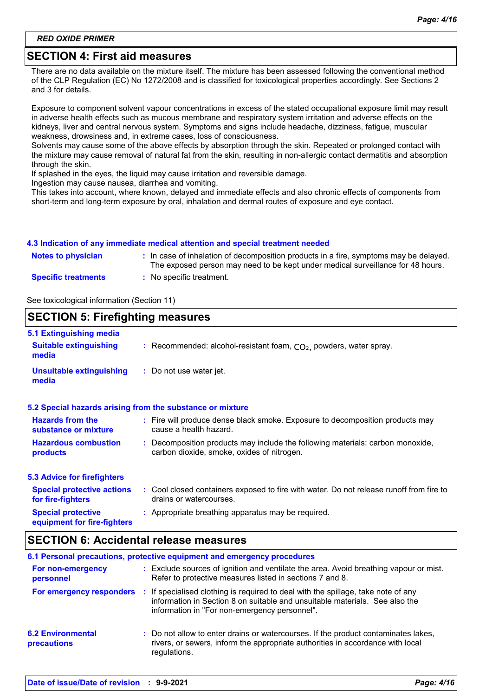# **SECTION 4: First aid measures**

There are no data available on the mixture itself. The mixture has been assessed following the conventional method of the CLP Regulation (EC) No 1272/2008 and is classified for toxicological properties accordingly. See Sections 2 and 3 for details.

Exposure to component solvent vapour concentrations in excess of the stated occupational exposure limit may result in adverse health effects such as mucous membrane and respiratory system irritation and adverse effects on the kidneys, liver and central nervous system. Symptoms and signs include headache, dizziness, fatigue, muscular weakness, drowsiness and, in extreme cases, loss of consciousness.

Solvents may cause some of the above effects by absorption through the skin. Repeated or prolonged contact with the mixture may cause removal of natural fat from the skin, resulting in non-allergic contact dermatitis and absorption through the skin.

If splashed in the eyes, the liquid may cause irritation and reversible damage.

Ingestion may cause nausea, diarrhea and vomiting.

This takes into account, where known, delayed and immediate effects and also chronic effects of components from short-term and long-term exposure by oral, inhalation and dermal routes of exposure and eye contact.

#### **4.3 Indication of any immediate medical attention and special treatment needed**

| <b>Notes to physician</b>  | : In case of inhalation of decomposition products in a fire, symptoms may be delayed.<br>The exposed person may need to be kept under medical surveillance for 48 hours. |
|----------------------------|--------------------------------------------------------------------------------------------------------------------------------------------------------------------------|
| <b>Specific treatments</b> | : No specific treatment.                                                                                                                                                 |

See toxicological information (Section 11)

#### **SECTION 5: Firefighting measures** Recommended: alcohol-resistant foam, CO₂, powders, water spray. **: :** Do not use water jet. **Hazardous combustion products Hazards from the substance or mixture Special protective equipment for fire-fighters 5.1 Extinguishing media :** Fire will produce dense black smoke. Exposure to decomposition products may **:** Decomposition products may include the following materials: carbon monoxide, **:** Appropriate breathing apparatus may be required. **Suitable extinguishing media Unsuitable extinguishing media 5.2 Special hazards arising from the substance or mixture 5.3 Advice for firefighters Special protective actions for fire-fighters :** Cool closed containers exposed to fire with water. Do not release runoff from fire to cause a health hazard. drains or watercourses. carbon dioxide, smoke, oxides of nitrogen.

## **SECTION 6: Accidental release measures**

|                                                |    | 6.1 Personal precautions, protective equipment and emergency procedures                                                                                                                                         |
|------------------------------------------------|----|-----------------------------------------------------------------------------------------------------------------------------------------------------------------------------------------------------------------|
| For non-emergency<br>personnel                 |    | : Exclude sources of ignition and ventilate the area. Avoid breathing vapour or mist.<br>Refer to protective measures listed in sections 7 and 8.                                                               |
| For emergency responders                       | п. | If specialised clothing is required to deal with the spillage, take note of any<br>information in Section 8 on suitable and unsuitable materials. See also the<br>information in "For non-emergency personnel". |
| <b>6.2 Environmental</b><br><b>precautions</b> |    | : Do not allow to enter drains or watercourses. If the product contaminates lakes,<br>rivers, or sewers, inform the appropriate authorities in accordance with local<br>regulations.                            |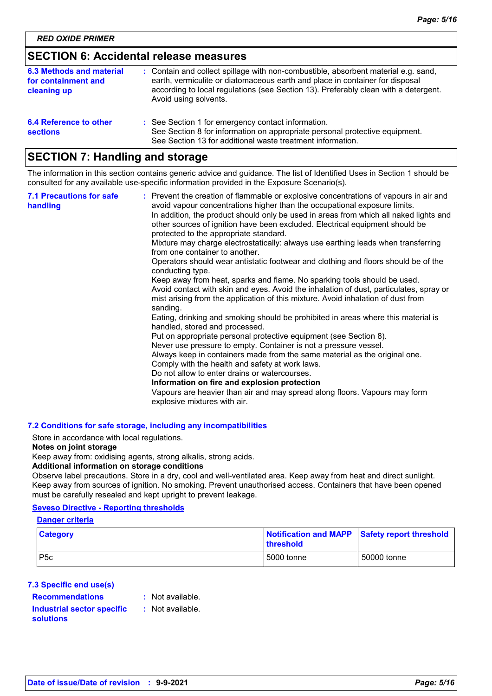# **SECTION 6: Accidental release measures**

| 6.3 Methods and material<br>for containment and<br>cleaning up | : Contain and collect spillage with non-combustible, absorbent material e.g. sand,<br>earth, vermiculite or diatomaceous earth and place in container for disposal<br>according to local regulations (see Section 13). Preferably clean with a detergent.<br>Avoid using solvents. |
|----------------------------------------------------------------|------------------------------------------------------------------------------------------------------------------------------------------------------------------------------------------------------------------------------------------------------------------------------------|
| 6.4 Reference to other<br><b>sections</b>                      | : See Section 1 for emergency contact information.<br>See Section 8 for information on appropriate personal protective equipment.<br>See Section 13 for additional waste treatment information.                                                                                    |

# **SECTION 7: Handling and storage**

The information in this section contains generic advice and guidance. The list of Identified Uses in Section 1 should be consulted for any available use-specific information provided in the Exposure Scenario(s).

| <b>7.1 Precautions for safe</b><br>handling | : Prevent the creation of flammable or explosive concentrations of vapours in air and<br>avoid vapour concentrations higher than the occupational exposure limits.<br>In addition, the product should only be used in areas from which all naked lights and<br>other sources of ignition have been excluded. Electrical equipment should be<br>protected to the appropriate standard.<br>Mixture may charge electrostatically: always use earthing leads when transferring<br>from one container to another.<br>Operators should wear antistatic footwear and clothing and floors should be of the<br>conducting type.<br>Keep away from heat, sparks and flame. No sparking tools should be used.<br>Avoid contact with skin and eyes. Avoid the inhalation of dust, particulates, spray or<br>mist arising from the application of this mixture. Avoid inhalation of dust from<br>sanding.<br>Eating, drinking and smoking should be prohibited in areas where this material is<br>handled, stored and processed.<br>Put on appropriate personal protective equipment (see Section 8).<br>Never use pressure to empty. Container is not a pressure vessel.<br>Always keep in containers made from the same material as the original one.<br>Comply with the health and safety at work laws.<br>Do not allow to enter drains or watercourses.<br>Information on fire and explosion protection<br>Vapours are heavier than air and may spread along floors. Vapours may form<br>explosive mixtures with air. |
|---------------------------------------------|--------------------------------------------------------------------------------------------------------------------------------------------------------------------------------------------------------------------------------------------------------------------------------------------------------------------------------------------------------------------------------------------------------------------------------------------------------------------------------------------------------------------------------------------------------------------------------------------------------------------------------------------------------------------------------------------------------------------------------------------------------------------------------------------------------------------------------------------------------------------------------------------------------------------------------------------------------------------------------------------------------------------------------------------------------------------------------------------------------------------------------------------------------------------------------------------------------------------------------------------------------------------------------------------------------------------------------------------------------------------------------------------------------------------------------------------------------------------------------------------------------------|
|---------------------------------------------|--------------------------------------------------------------------------------------------------------------------------------------------------------------------------------------------------------------------------------------------------------------------------------------------------------------------------------------------------------------------------------------------------------------------------------------------------------------------------------------------------------------------------------------------------------------------------------------------------------------------------------------------------------------------------------------------------------------------------------------------------------------------------------------------------------------------------------------------------------------------------------------------------------------------------------------------------------------------------------------------------------------------------------------------------------------------------------------------------------------------------------------------------------------------------------------------------------------------------------------------------------------------------------------------------------------------------------------------------------------------------------------------------------------------------------------------------------------------------------------------------------------|

#### **7.2 Conditions for safe storage, including any incompatibilities**

Store in accordance with local regulations.

#### **Notes on joint storage**

Keep away from: oxidising agents, strong alkalis, strong acids.

#### **Additional information on storage conditions**

Observe label precautions. Store in a dry, cool and well-ventilated area. Keep away from heat and direct sunlight. Keep away from sources of ignition. No smoking. Prevent unauthorised access. Containers that have been opened must be carefully resealed and kept upright to prevent leakage.

#### **Seveso Directive - Reporting thresholds**

#### **Danger criteria**

| <b>Category</b> | Notification and MAPP Safety report threshold<br><b>threshold</b> |             |
|-----------------|-------------------------------------------------------------------|-------------|
| P5c             | 5000 tonne                                                        | 50000 tonne |

#### **7.3 Specific end use(s)**

| <b>Recommendations</b>            | : Not |
|-----------------------------------|-------|
| <b>Industrial sector specific</b> | : Not |
| solutions                         |       |

Not available. Not available.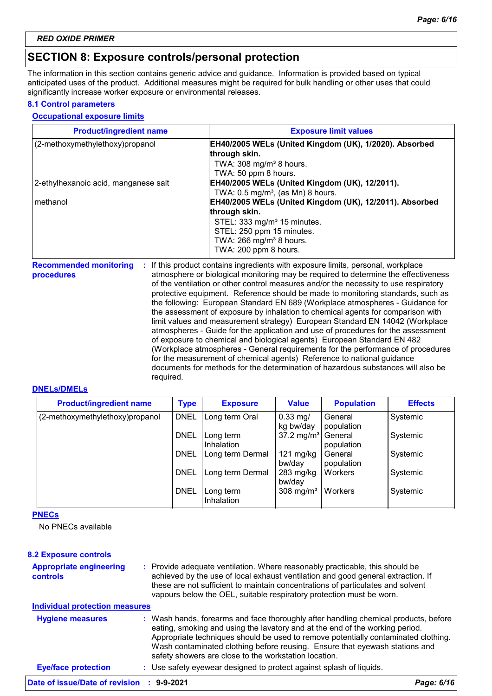# **SECTION 8: Exposure controls/personal protection**

The information in this section contains generic advice and guidance. Information is provided based on typical anticipated uses of the product. Additional measures might be required for bulk handling or other uses that could significantly increase worker exposure or environmental releases.

#### **8.1 Control parameters**

#### **Occupational exposure limits**

| <b>Product/ingredient name</b>                   | <b>Exposure limit values</b>                                                                                                                                         |
|--------------------------------------------------|----------------------------------------------------------------------------------------------------------------------------------------------------------------------|
| (2-methoxymethylethoxy)propanol                  | EH40/2005 WELs (United Kingdom (UK), 1/2020). Absorbed                                                                                                               |
|                                                  | through skin.                                                                                                                                                        |
|                                                  | TWA: $308 \text{ mg/m}^3$ 8 hours.                                                                                                                                   |
|                                                  | TWA: 50 ppm 8 hours.                                                                                                                                                 |
| 2-ethylhexanoic acid, manganese salt             | EH40/2005 WELs (United Kingdom (UK), 12/2011).                                                                                                                       |
|                                                  | TWA: $0.5 \text{ mg/m}^3$ , (as Mn) 8 hours.                                                                                                                         |
| methanol                                         | EH40/2005 WELs (United Kingdom (UK), 12/2011). Absorbed                                                                                                              |
|                                                  | through skin.                                                                                                                                                        |
|                                                  | STEL: 333 mg/m <sup>3</sup> 15 minutes.                                                                                                                              |
|                                                  | STEL: 250 ppm 15 minutes.                                                                                                                                            |
|                                                  | TWA: $266$ mg/m <sup>3</sup> 8 hours.                                                                                                                                |
|                                                  | TWA: 200 ppm 8 hours.                                                                                                                                                |
| <b>Recommended monitoring</b><br>÷<br>procedures | If this product contains ingredients with exposure limits, personal, workplace<br>atmosphere or biological monitoring may be required to determine the effectiveness |
|                                                  | of the ventilation or other control measures and/or the necessity to use respiratory                                                                                 |
|                                                  | protective equipment. Reference should be made to monitoring standards, such as<br>the following: European Ctanderd ENLCOO (Merkplace otmoopheres Cuidense for       |

the following: European Standard EN 689 (Workplace atmospheres - Guidance for the assessment of exposure by inhalation to chemical agents for comparison with limit values and measurement strategy) European Standard EN 14042 (Workplace atmospheres - Guide for the application and use of procedures for the assessment of exposure to chemical and biological agents) European Standard EN 482 (Workplace atmospheres - General requirements for the performance of procedures for the measurement of chemical agents) Reference to national guidance documents for methods for the determination of hazardous substances will also be required.

#### **DNELs/DMELs**

| <b>Product/ingredient name</b>  | <b>Type</b> | <b>Exposure</b>                | <b>Value</b>                  | <b>Population</b>     | <b>Effects</b> |
|---------------------------------|-------------|--------------------------------|-------------------------------|-----------------------|----------------|
| (2-methoxymethylethoxy)propanol | <b>DNEL</b> | Long term Oral                 | $0.33$ mg/<br>kg bw/day       | General<br>population | Systemic       |
|                                 | <b>DNEL</b> | Long term<br><b>Inhalation</b> | $37.2 \text{ mg/m}^3$         | General<br>population | Systemic       |
|                                 | <b>DNEL</b> | Long term Dermal               | $121 \text{ mg/kg}$<br>bw/day | General<br>population | Systemic       |
|                                 | <b>DNEL</b> | Long term Dermal               | $283$ mg/kg<br>bw/day         | Workers               | Systemic       |
|                                 | <b>DNEL</b> | Long term<br>Inhalation        | $308 \text{ mg/m}^3$          | Workers               | Systemic       |

**PNECs**

No PNECs available

| <b>8.2 Exposure controls</b>                      |                                                                                                                                                                                                                                                                                                                                                                                                   |            |
|---------------------------------------------------|---------------------------------------------------------------------------------------------------------------------------------------------------------------------------------------------------------------------------------------------------------------------------------------------------------------------------------------------------------------------------------------------------|------------|
| <b>Appropriate engineering</b><br><b>controls</b> | : Provide adequate ventilation. Where reasonably practicable, this should be<br>achieved by the use of local exhaust ventilation and good general extraction. If<br>these are not sufficient to maintain concentrations of particulates and solvent<br>vapours below the OEL, suitable respiratory protection must be worn.                                                                       |            |
| <b>Individual protection measures</b>             |                                                                                                                                                                                                                                                                                                                                                                                                   |            |
| <b>Hygiene measures</b>                           | : Wash hands, forearms and face thoroughly after handling chemical products, before<br>eating, smoking and using the lavatory and at the end of the working period.<br>Appropriate techniques should be used to remove potentially contaminated clothing.<br>Wash contaminated clothing before reusing. Ensure that eyewash stations and<br>safety showers are close to the workstation location. |            |
| <b>Eye/face protection</b>                        | : Use safety eyewear designed to protect against splash of liquids.                                                                                                                                                                                                                                                                                                                               |            |
| Date of issue/Date of revision : 9-9-2021         |                                                                                                                                                                                                                                                                                                                                                                                                   | Page: 6/16 |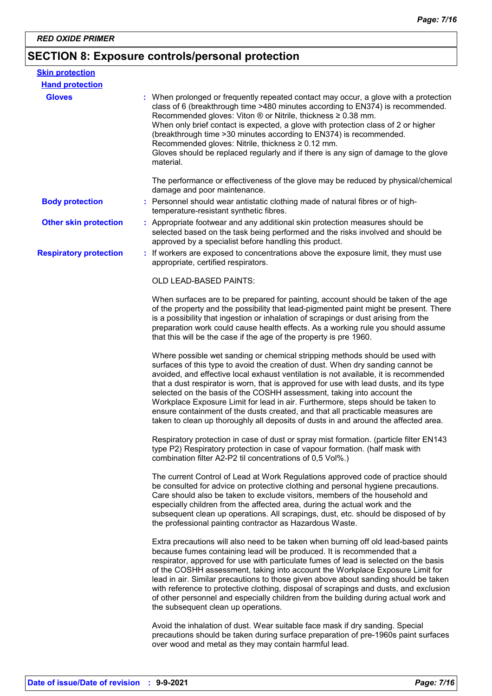# **SECTION 8: Exposure controls/personal protection**

| <b>Skin protection</b>        |                                                                                                                                                                                                                                                                                                                                                                                                                                                                                                                                                                                                                                                                                         |
|-------------------------------|-----------------------------------------------------------------------------------------------------------------------------------------------------------------------------------------------------------------------------------------------------------------------------------------------------------------------------------------------------------------------------------------------------------------------------------------------------------------------------------------------------------------------------------------------------------------------------------------------------------------------------------------------------------------------------------------|
| <b>Hand protection</b>        |                                                                                                                                                                                                                                                                                                                                                                                                                                                                                                                                                                                                                                                                                         |
| <b>Gloves</b>                 | : When prolonged or frequently repeated contact may occur, a glove with a protection<br>class of 6 (breakthrough time >480 minutes according to EN374) is recommended.<br>Recommended gloves: Viton ® or Nitrile, thickness ≥ 0.38 mm.<br>When only brief contact is expected, a glove with protection class of 2 or higher<br>(breakthrough time > 30 minutes according to EN374) is recommended.<br>Recommended gloves: Nitrile, thickness ≥ 0.12 mm.<br>Gloves should be replaced regularly and if there is any sign of damage to the glove<br>material.                                                                                                                             |
|                               | The performance or effectiveness of the glove may be reduced by physical/chemical<br>damage and poor maintenance.                                                                                                                                                                                                                                                                                                                                                                                                                                                                                                                                                                       |
| <b>Body protection</b>        | : Personnel should wear antistatic clothing made of natural fibres or of high-<br>temperature-resistant synthetic fibres.                                                                                                                                                                                                                                                                                                                                                                                                                                                                                                                                                               |
| <b>Other skin protection</b>  | : Appropriate footwear and any additional skin protection measures should be<br>selected based on the task being performed and the risks involved and should be<br>approved by a specialist before handling this product.                                                                                                                                                                                                                                                                                                                                                                                                                                                               |
| <b>Respiratory protection</b> | : If workers are exposed to concentrations above the exposure limit, they must use<br>appropriate, certified respirators.                                                                                                                                                                                                                                                                                                                                                                                                                                                                                                                                                               |
|                               | OLD LEAD-BASED PAINTS:                                                                                                                                                                                                                                                                                                                                                                                                                                                                                                                                                                                                                                                                  |
|                               | When surfaces are to be prepared for painting, account should be taken of the age<br>of the property and the possibility that lead-pigmented paint might be present. There<br>is a possibility that ingestion or inhalation of scrapings or dust arising from the<br>preparation work could cause health effects. As a working rule you should assume<br>that this will be the case if the age of the property is pre 1960.                                                                                                                                                                                                                                                             |
|                               | Where possible wet sanding or chemical stripping methods should be used with<br>surfaces of this type to avoid the creation of dust. When dry sanding cannot be<br>avoided, and effective local exhaust ventilation is not available, it is recommended<br>that a dust respirator is worn, that is approved for use with lead dusts, and its type<br>selected on the basis of the COSHH assessment, taking into account the<br>Workplace Exposure Limit for lead in air. Furthermore, steps should be taken to<br>ensure containment of the dusts created, and that all practicable measures are<br>taken to clean up thoroughly all deposits of dusts in and around the affected area. |
|                               | Respiratory protection in case of dust or spray mist formation. (particle filter EN143<br>type P2) Respiratory protection in case of vapour formation. (half mask with<br>combination filter A2-P2 til concentrations of 0,5 Vol%.)                                                                                                                                                                                                                                                                                                                                                                                                                                                     |
|                               | The current Control of Lead at Work Regulations approved code of practice should<br>be consulted for advice on protective clothing and personal hygiene precautions.<br>Care should also be taken to exclude visitors, members of the household and<br>especially children from the affected area, during the actual work and the<br>subsequent clean up operations. All scrapings, dust, etc. should be disposed of by<br>the professional painting contractor as Hazardous Waste.                                                                                                                                                                                                     |
|                               | Extra precautions will also need to be taken when burning off old lead-based paints<br>because fumes containing lead will be produced. It is recommended that a<br>respirator, approved for use with particulate fumes of lead is selected on the basis<br>of the COSHH assessment, taking into account the Workplace Exposure Limit for<br>lead in air. Similar precautions to those given above about sanding should be taken<br>with reference to protective clothing, disposal of scrapings and dusts, and exclusion<br>of other personnel and especially children from the building during actual work and<br>the subsequent clean up operations.                                  |
|                               | Avoid the inhalation of dust. Wear suitable face mask if dry sanding. Special<br>precautions should be taken during surface preparation of pre-1960s paint surfaces<br>over wood and metal as they may contain harmful lead.                                                                                                                                                                                                                                                                                                                                                                                                                                                            |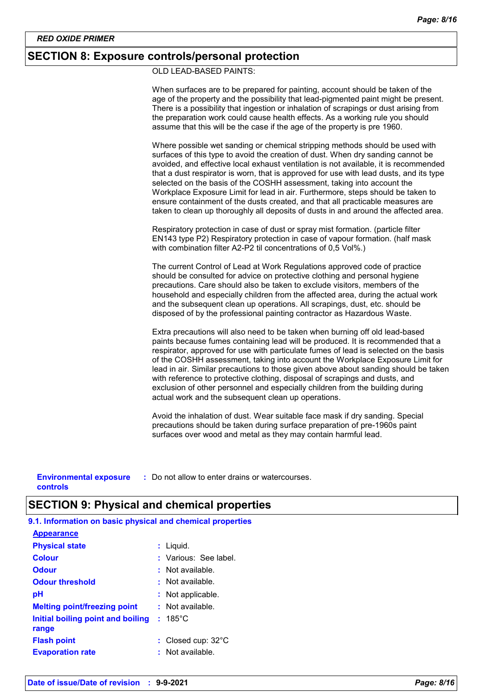# **SECTION 8: Exposure controls/personal protection**

OLD LEAD-BASED PAINTS:

When surfaces are to be prepared for painting, account should be taken of the age of the property and the possibility that lead-pigmented paint might be present. There is a possibility that ingestion or inhalation of scrapings or dust arising from the preparation work could cause health effects. As a working rule you should assume that this will be the case if the age of the property is pre 1960.

Where possible wet sanding or chemical stripping methods should be used with surfaces of this type to avoid the creation of dust. When dry sanding cannot be avoided, and effective local exhaust ventilation is not available, it is recommended that a dust respirator is worn, that is approved for use with lead dusts, and its type selected on the basis of the COSHH assessment, taking into account the Workplace Exposure Limit for lead in air. Furthermore, steps should be taken to ensure containment of the dusts created, and that all practicable measures are taken to clean up thoroughly all deposits of dusts in and around the affected area.

Respiratory protection in case of dust or spray mist formation. (particle filter EN143 type P2) Respiratory protection in case of vapour formation. (half mask with combination filter A2-P2 til concentrations of 0,5 Vol%.)

The current Control of Lead at Work Regulations approved code of practice should be consulted for advice on protective clothing and personal hygiene precautions. Care should also be taken to exclude visitors, members of the household and especially children from the affected area, during the actual work and the subsequent clean up operations. All scrapings, dust, etc. should be disposed of by the professional painting contractor as Hazardous Waste.

Extra precautions will also need to be taken when burning off old lead-based paints because fumes containing lead will be produced. It is recommended that a respirator, approved for use with particulate fumes of lead is selected on the basis of the COSHH assessment, taking into account the Workplace Exposure Limit for lead in air. Similar precautions to those given above about sanding should be taken with reference to protective clothing, disposal of scrapings and dusts, and exclusion of other personnel and especially children from the building during actual work and the subsequent clean up operations.

Avoid the inhalation of dust. Wear suitable face mask if dry sanding. Special precautions should be taken during surface preparation of pre-1960s paint surfaces over wood and metal as they may contain harmful lead.

**Environmental exposure : Do not allow to enter drains or watercourses. controls**

# **SECTION 9: Physical and chemical properties**

185°C **Initial boiling point and boiling : Physical state Melting point/freezing point range** Liquid. **: :** Not available. **Odour** : Not available. **pH Colour Evaporation rate Flash point**  $\qquad \qquad : \qquad \text{Closed cup: } 32^{\circ} \text{C}$ Not applicable. **: Odour threshold :** Various: See label. : Not available. **: 9.1. Information on basic physical and chemical properties Appearance**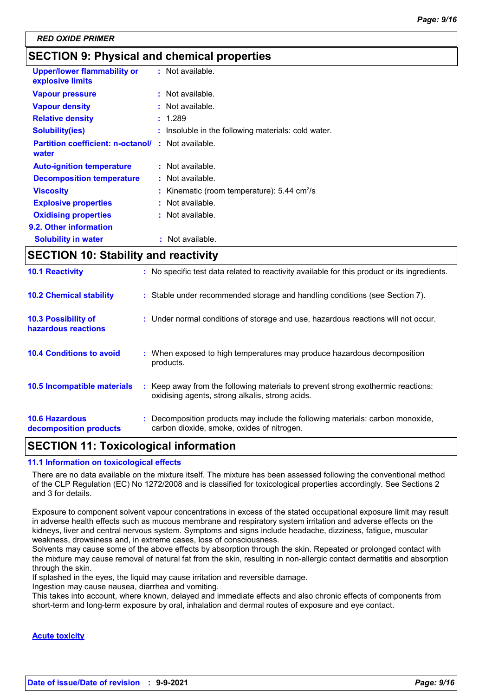# **SECTION 9: Physical and chemical properties**

| <b>Upper/lower flammability or</b><br>explosive limits | : Not available.                                             |
|--------------------------------------------------------|--------------------------------------------------------------|
| <b>Vapour pressure</b>                                 | $:$ Not available.                                           |
| <b>Vapour density</b>                                  | Not available.                                               |
| <b>Relative density</b>                                | : 1.289                                                      |
| <b>Solubility(ies)</b>                                 | Insoluble in the following materials: cold water.            |
| <b>Partition coefficient: n-octanol/</b><br>water      | $\therefore$ Not available.                                  |
| <b>Auto-ignition temperature</b>                       | $:$ Not available.                                           |
| <b>Decomposition temperature</b>                       | $:$ Not available.                                           |
| <b>Viscosity</b>                                       | : Kinematic (room temperature): $5.44 \text{ cm}^2/\text{s}$ |
| <b>Explosive properties</b>                            | $:$ Not available.                                           |
| <b>Oxidising properties</b>                            | $:$ Not available.                                           |
| 9.2. Other information                                 |                                                              |
| <b>Solubility in water</b>                             | : Not available.                                             |

# **SECTION 10: Stability and reactivity**

| <b>10.6 Hazardous</b><br>decomposition products | : Decomposition products may include the following materials: carbon monoxide,<br>carbon dioxide, smoke, oxides of nitrogen.        |
|-------------------------------------------------|-------------------------------------------------------------------------------------------------------------------------------------|
| <b>10.5 Incompatible materials</b>              | : Keep away from the following materials to prevent strong exothermic reactions:<br>oxidising agents, strong alkalis, strong acids. |
| <b>10.4 Conditions to avoid</b>                 | : When exposed to high temperatures may produce hazardous decomposition<br>products.                                                |
| 10.3 Possibility of<br>hazardous reactions      | : Under normal conditions of storage and use, hazardous reactions will not occur.                                                   |
| <b>10.2 Chemical stability</b>                  | : Stable under recommended storage and handling conditions (see Section 7).                                                         |
| <b>10.1 Reactivity</b>                          | : No specific test data related to reactivity available for this product or its ingredients.                                        |

# **SECTION 11: Toxicological information**

#### **11.1 Information on toxicological effects**

There are no data available on the mixture itself. The mixture has been assessed following the conventional method of the CLP Regulation (EC) No 1272/2008 and is classified for toxicological properties accordingly. See Sections 2 and 3 for details.

Exposure to component solvent vapour concentrations in excess of the stated occupational exposure limit may result in adverse health effects such as mucous membrane and respiratory system irritation and adverse effects on the kidneys, liver and central nervous system. Symptoms and signs include headache, dizziness, fatigue, muscular weakness, drowsiness and, in extreme cases, loss of consciousness.

Solvents may cause some of the above effects by absorption through the skin. Repeated or prolonged contact with the mixture may cause removal of natural fat from the skin, resulting in non-allergic contact dermatitis and absorption through the skin.

If splashed in the eyes, the liquid may cause irritation and reversible damage.

Ingestion may cause nausea, diarrhea and vomiting.

This takes into account, where known, delayed and immediate effects and also chronic effects of components from short-term and long-term exposure by oral, inhalation and dermal routes of exposure and eye contact.

#### **Acute toxicity**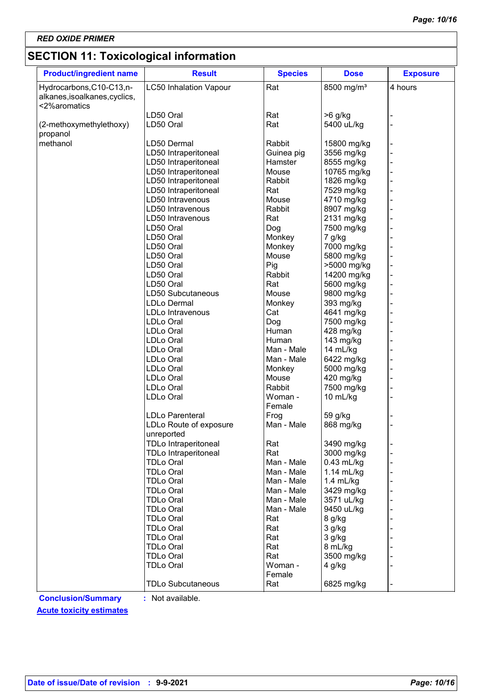# **SECTION 11: Toxicological information**

| <b>Product/ingredient name</b> | <b>Result</b>                        | <b>Species</b> | <b>Dose</b>              | <b>Exposure</b> |
|--------------------------------|--------------------------------------|----------------|--------------------------|-----------------|
| Hydrocarbons, C10-C13, n-      | <b>LC50 Inhalation Vapour</b>        | Rat            | 8500 mg/m <sup>3</sup>   | 4 hours         |
| alkanes, isoalkanes, cyclics,  |                                      |                |                          |                 |
| <2%aromatics                   |                                      |                |                          |                 |
|                                | LD50 Oral                            | Rat            | $>6$ g/kg                |                 |
| (2-methoxymethylethoxy)        | LD50 Oral                            | Rat            | 5400 uL/kg               |                 |
| propanol                       |                                      |                |                          |                 |
| methanol                       | LD50 Dermal                          | Rabbit         | 15800 mg/kg              |                 |
|                                | LD50 Intraperitoneal                 | Guinea pig     | 3556 mg/kg               |                 |
|                                | LD50 Intraperitoneal                 | Hamster        | 8555 mg/kg               |                 |
|                                | LD50 Intraperitoneal                 | Mouse          | 10765 mg/kg              |                 |
|                                | LD50 Intraperitoneal                 | Rabbit         | 1826 mg/kg               |                 |
|                                | LD50 Intraperitoneal                 | Rat<br>Mouse   | 7529 mg/kg               |                 |
|                                | LD50 Intravenous<br>LD50 Intravenous | Rabbit         | 4710 mg/kg               |                 |
|                                | LD50 Intravenous                     | Rat            | 8907 mg/kg<br>2131 mg/kg |                 |
|                                | LD50 Oral                            |                | 7500 mg/kg               |                 |
|                                | LD50 Oral                            | Dog<br>Monkey  | 7 g/kg                   |                 |
|                                | LD50 Oral                            | Monkey         | 7000 mg/kg               |                 |
|                                | LD50 Oral                            | Mouse          | 5800 mg/kg               |                 |
|                                | LD50 Oral                            | Pig            | >5000 mg/kg              |                 |
|                                | LD50 Oral                            | Rabbit         | 14200 mg/kg              |                 |
|                                | LD50 Oral                            | Rat            | 5600 mg/kg               |                 |
|                                | LD50 Subcutaneous                    | Mouse          | 9800 mg/kg               |                 |
|                                | <b>LDLo Dermal</b>                   | Monkey         | 393 mg/kg                |                 |
|                                | LDLo Intravenous                     | Cat            | 4641 mg/kg               |                 |
|                                | LDLo Oral                            | Dog            | 7500 mg/kg               |                 |
|                                | LDLo Oral                            | Human          | 428 mg/kg                |                 |
|                                | LDLo Oral                            | Human          | 143 mg/kg                |                 |
|                                | LDLo Oral                            | Man - Male     | 14 mL/kg                 |                 |
|                                | LDLo Oral                            | Man - Male     | 6422 mg/kg               |                 |
|                                | LDLo Oral                            | Monkey         | 5000 mg/kg               |                 |
|                                | LDLo Oral                            | Mouse          | 420 mg/kg                |                 |
|                                | LDLo Oral                            | Rabbit         | 7500 mg/kg               |                 |
|                                | LDLo Oral                            | Woman -        | 10 mL/kg                 |                 |
|                                |                                      | Female         |                          |                 |
|                                | <b>LDLo Parenteral</b>               | Frog           | 59 g/kg                  |                 |
|                                | LDLo Route of exposure<br>unreported | Man - Male     | 868 mg/kg                |                 |
|                                | <b>TDLo Intraperitoneal</b>          | Rat            | 3490 mg/kg               |                 |
|                                | <b>TDLo Intraperitoneal</b>          | Rat            | 3000 mg/kg               |                 |
|                                | <b>TDLo Oral</b>                     | Man - Male     | $0.43$ mL/kg             |                 |
|                                | <b>TDLo Oral</b>                     | Man - Male     | 1.14 mL/kg               |                 |
|                                | <b>TDLo Oral</b>                     | Man - Male     | $1.4$ mL/kg              |                 |
|                                | <b>TDLo Oral</b>                     | Man - Male     | 3429 mg/kg               |                 |
|                                | <b>TDLo Oral</b>                     | Man - Male     | 3571 uL/kg               |                 |
|                                | <b>TDLo Oral</b>                     | Man - Male     | 9450 uL/kg               |                 |
|                                | <b>TDLo Oral</b>                     | Rat            | 8 g/kg                   |                 |
|                                | <b>TDLo Oral</b>                     | Rat            | 3 g/kg                   |                 |
|                                | <b>TDLo Oral</b>                     | Rat            | 3 g/kg                   |                 |
|                                | <b>TDLo Oral</b>                     | Rat            | 8 mL/kg                  |                 |
|                                | <b>TDLo Oral</b>                     | Rat            | 3500 mg/kg               |                 |
|                                | <b>TDLo Oral</b>                     | Woman -        | 4 g/kg                   |                 |
|                                |                                      | Female         |                          |                 |
|                                | <b>TDLo Subcutaneous</b>             | Rat            | 6825 mg/kg               |                 |

**Conclusion/Summary :** Not available.

**Acute toxicity estimates**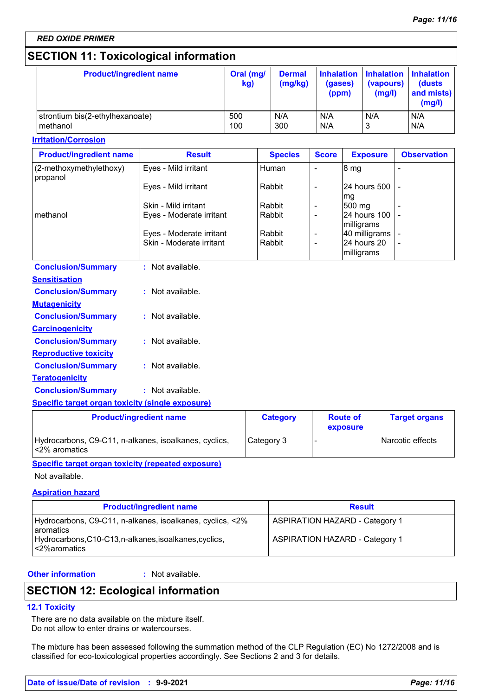# **SECTION 11: Toxicological information**

| <b>Product/ingredient name</b>  | Oral (mg/<br>kg) | <b>Dermal</b><br>(mg/kg) | (gases)<br>(ppm) | <b>Inhalation Inhalation Inhalation</b><br>(vapours)<br>(mg/l) | (dusts)<br>and mists)<br>(mg/l) |
|---------------------------------|------------------|--------------------------|------------------|----------------------------------------------------------------|---------------------------------|
| strontium bis(2-ethylhexanoate) | 500              | N/A                      | N/A              | N/A                                                            | N/A                             |
| methanol                        | 100              | 300                      | N/A              |                                                                | N/A                             |

#### **Irritation/Corrosion**

| <b>Product/ingredient name</b>      | <b>Result</b>            | <b>Species</b> | <b>Score</b>             | <b>Exposure</b>              | <b>Observation</b> |
|-------------------------------------|--------------------------|----------------|--------------------------|------------------------------|--------------------|
| (2-methoxymethylethoxy)<br>propanol | Eyes - Mild irritant     | Human          |                          | 8 <sub>mg</sub>              |                    |
|                                     | Eyes - Mild irritant     | Rabbit         |                          | <b>24 hours 500 L</b><br>mg  |                    |
|                                     | Skin - Mild irritant     | Rabbit         | $\overline{\phantom{0}}$ | 500 mg                       |                    |
| methanol                            | Eyes - Moderate irritant | Rabbit         |                          | 24 hours 100 -<br>milligrams |                    |
|                                     | Eyes - Moderate irritant | Rabbit         | ۰                        | 40 milligrams                |                    |
|                                     | Skin - Moderate irritant | Rabbit         |                          | 24 hours 20<br>milligrams    |                    |

| <b>Conclusion/Summary</b>    | : Not available. |
|------------------------------|------------------|
| Sensitisation                |                  |
| <b>Conclusion/Summary</b>    | : Not available. |
| <b>Mutagenicity</b>          |                  |
| <b>Conclusion/Summary</b>    | : Not available. |
| <b>Carcinogenicity</b>       |                  |
| <b>Conclusion/Summary</b>    | : Not available. |
| <b>Reproductive toxicity</b> |                  |
| <b>Conclusion/Summary</b>    | : Not available. |
| Teratogenicity               |                  |
| <b>Conclusion/Summary</b>    | : Not available. |
|                              |                  |

#### **Specific target organ toxicity (single exposure)**

| <b>Product/ingredient name</b>                                         | <b>Category</b> | <b>Route of</b><br>exposure | <b>Target organs</b> |
|------------------------------------------------------------------------|-----------------|-----------------------------|----------------------|
| Hydrocarbons, C9-C11, n-alkanes, isoalkanes, cyclics,<br><2% aromatics | Category 3      |                             | Narcotic effects     |

#### **Specific target organ toxicity (repeated exposure)**

Not available.

#### **Aspiration hazard**

| <b>Product/ingredient name</b>                                                                                                                              | <b>Result</b>                                                                  |
|-------------------------------------------------------------------------------------------------------------------------------------------------------------|--------------------------------------------------------------------------------|
| Hydrocarbons, C9-C11, n-alkanes, isoalkanes, cyclics, <2%<br><b>l</b> aromatics<br>Hydrocarbons, C10-C13, n-alkanes, isoalkanes, cyclics,<br>l <2%aromatics | <b>ASPIRATION HAZARD - Category 1</b><br><b>ASPIRATION HAZARD - Category 1</b> |

#### **Other information :**

: Not available.

# **SECTION 12: Ecological information**

#### **12.1 Toxicity**

There are no data available on the mixture itself. Do not allow to enter drains or watercourses.

The mixture has been assessed following the summation method of the CLP Regulation (EC) No 1272/2008 and is classified for eco-toxicological properties accordingly. See Sections 2 and 3 for details.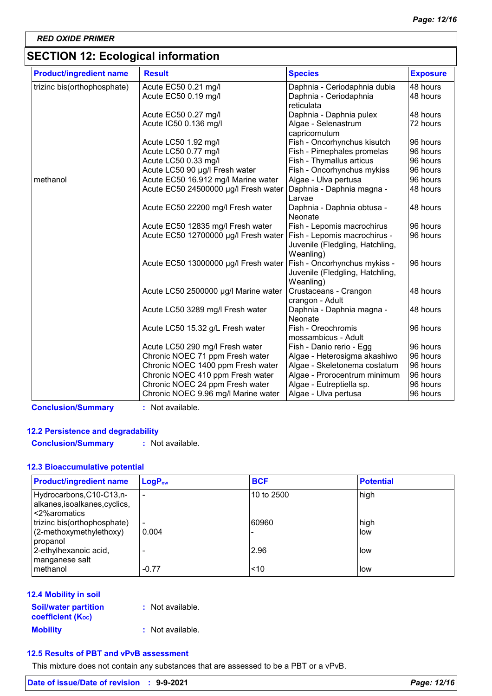# **SECTION 12: Ecological information**

| <b>Product/ingredient name</b> | <b>Result</b>                        | <b>Species</b>                      | <b>Exposure</b> |
|--------------------------------|--------------------------------------|-------------------------------------|-----------------|
| trizinc bis(orthophosphate)    | Acute EC50 0.21 mg/l                 | Daphnia - Ceriodaphnia dubia        | 48 hours        |
|                                | Acute EC50 0.19 mg/l                 | Daphnia - Ceriodaphnia              | 48 hours        |
|                                |                                      | reticulata                          |                 |
|                                | Acute EC50 0.27 mg/l                 | Daphnia - Daphnia pulex             | 48 hours        |
|                                | Acute IC50 0.136 mg/l                | Algae - Selenastrum                 | 72 hours        |
|                                |                                      | capricornutum                       |                 |
|                                | Acute LC50 1.92 mg/l                 | Fish - Oncorhynchus kisutch         | 96 hours        |
|                                | Acute LC50 0.77 mg/l                 | Fish - Pimephales promelas          | 96 hours        |
|                                | Acute LC50 0.33 mg/l                 | Fish - Thymallus articus            | 96 hours        |
|                                | Acute LC50 90 µg/l Fresh water       | Fish - Oncorhynchus mykiss          | 96 hours        |
| methanol                       | Acute EC50 16.912 mg/l Marine water  | Algae - Ulva pertusa                | 96 hours        |
|                                | Acute EC50 24500000 µg/l Fresh water | Daphnia - Daphnia magna -<br>Larvae | 48 hours        |
|                                | Acute EC50 22200 mg/l Fresh water    | Daphnia - Daphnia obtusa -          | 48 hours        |
|                                |                                      | Neonate                             |                 |
|                                | Acute EC50 12835 mg/l Fresh water    | Fish - Lepomis macrochirus          | 96 hours        |
|                                | Acute EC50 12700000 µg/l Fresh water | Fish - Lepomis macrochirus -        | 96 hours        |
|                                |                                      | Juvenile (Fledgling, Hatchling,     |                 |
|                                |                                      | Weanling)                           |                 |
|                                | Acute EC50 13000000 µg/l Fresh water | Fish - Oncorhynchus mykiss -        | 96 hours        |
|                                |                                      | Juvenile (Fledgling, Hatchling,     |                 |
|                                |                                      | Weanling)                           |                 |
|                                | Acute LC50 2500000 µg/l Marine water | Crustaceans - Crangon               | 48 hours        |
|                                |                                      | crangon - Adult                     |                 |
|                                | Acute LC50 3289 mg/l Fresh water     | Daphnia - Daphnia magna -           | 48 hours        |
|                                |                                      | Neonate                             |                 |
|                                | Acute LC50 15.32 g/L Fresh water     | Fish - Oreochromis                  | 96 hours        |
|                                |                                      | mossambicus - Adult                 |                 |
|                                | Acute LC50 290 mg/l Fresh water      | Fish - Danio rerio - Egg            | 96 hours        |
|                                | Chronic NOEC 71 ppm Fresh water      | Algae - Heterosigma akashiwo        | 96 hours        |
|                                | Chronic NOEC 1400 ppm Fresh water    | Algae - Skeletonema costatum        | 96 hours        |
|                                | Chronic NOEC 410 ppm Fresh water     | Algae - Prorocentrum minimum        | 96 hours        |
|                                | Chronic NOEC 24 ppm Fresh water      | Algae - Eutreptiella sp.            | 96 hours        |
|                                | Chronic NOEC 9.96 mg/l Marine water  | Algae - Ulva pertusa                | 96 hours        |

**Conclusion/Summary :** Not available.

### **12.2 Persistence and degradability**

**Conclusion/Summary :** Not available.

#### **12.3 Bioaccumulative potential**

| <b>Product/ingredient name</b>                                            | LogP <sub>ow</sub>       | <b>BCF</b> | <b>Potential</b> |
|---------------------------------------------------------------------------|--------------------------|------------|------------------|
| Hydrocarbons, C10-C13,n-<br>alkanes, isoalkanes, cyclics,<br><2%aromatics | $\overline{\phantom{0}}$ | 10 to 2500 | high             |
| trizinc bis(orthophosphate)                                               | $\sim$                   | 60960      | high             |
| (2-methoxymethylethoxy)<br>propanol                                       | 0.004                    |            | low              |
| 2-ethylhexanoic acid,<br>manganese salt                                   |                          | 2.96       | low              |
| methanol                                                                  | $-0.77$                  | < 10       | low              |

### **12.4 Mobility in soil**

| <b>Soil/water partition</b><br><b>coefficient</b> (K <sub>oc</sub> ) | : Not available. |
|----------------------------------------------------------------------|------------------|
| <b>Mobility</b>                                                      | : Not available. |

#### **12.5 Results of PBT and vPvB assessment**

This mixture does not contain any substances that are assessed to be a PBT or a vPvB.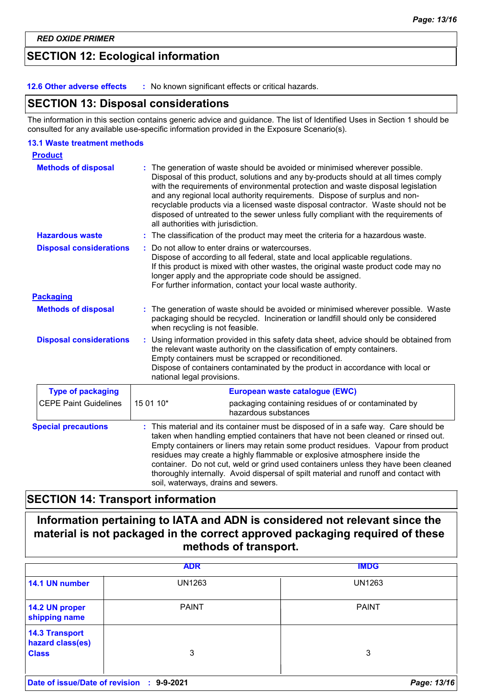# **SECTION 12: Ecological information**

**12.6 Other adverse effects :** No known significant effects or critical hazards.

### **SECTION 13: Disposal considerations**

The information in this section contains generic advice and guidance. The list of Identified Uses in Section 1 should be consulted for any available use-specific information provided in the Exposure Scenario(s).

#### **13.1 Waste treatment methods**

| <b>Product</b>                 |                                                                                                                                                                                                                                                                                                                                                                                                                                                                                                                                                             |  |
|--------------------------------|-------------------------------------------------------------------------------------------------------------------------------------------------------------------------------------------------------------------------------------------------------------------------------------------------------------------------------------------------------------------------------------------------------------------------------------------------------------------------------------------------------------------------------------------------------------|--|
| <b>Methods of disposal</b>     | The generation of waste should be avoided or minimised wherever possible.<br>Disposal of this product, solutions and any by-products should at all times comply<br>with the requirements of environmental protection and waste disposal legislation<br>and any regional local authority requirements. Dispose of surplus and non-<br>recyclable products via a licensed waste disposal contractor. Waste should not be<br>disposed of untreated to the sewer unless fully compliant with the requirements of<br>all authorities with jurisdiction.          |  |
| <b>Hazardous waste</b>         | The classification of the product may meet the criteria for a hazardous waste.<br>t.                                                                                                                                                                                                                                                                                                                                                                                                                                                                        |  |
| <b>Disposal considerations</b> | Do not allow to enter drains or watercourses.<br>Dispose of according to all federal, state and local applicable regulations.<br>If this product is mixed with other wastes, the original waste product code may no<br>longer apply and the appropriate code should be assigned.<br>For further information, contact your local waste authority.                                                                                                                                                                                                            |  |
| <b>Packaging</b>               |                                                                                                                                                                                                                                                                                                                                                                                                                                                                                                                                                             |  |
| <b>Methods of disposal</b>     | The generation of waste should be avoided or minimised wherever possible. Waste<br>packaging should be recycled. Incineration or landfill should only be considered<br>when recycling is not feasible.                                                                                                                                                                                                                                                                                                                                                      |  |
| <b>Disposal considerations</b> | Using information provided in this safety data sheet, advice should be obtained from<br>the relevant waste authority on the classification of empty containers.<br>Empty containers must be scrapped or reconditioned.<br>Dispose of containers contaminated by the product in accordance with local or<br>national legal provisions.                                                                                                                                                                                                                       |  |
| <b>Type of packaging</b>       | European waste catalogue (EWC)                                                                                                                                                                                                                                                                                                                                                                                                                                                                                                                              |  |
| <b>CEPE Paint Guidelines</b>   | 15 01 10*<br>packaging containing residues of or contaminated by<br>hazardous substances                                                                                                                                                                                                                                                                                                                                                                                                                                                                    |  |
| <b>Special precautions</b>     | This material and its container must be disposed of in a safe way. Care should be<br>taken when handling emptied containers that have not been cleaned or rinsed out.<br>Empty containers or liners may retain some product residues. Vapour from product<br>residues may create a highly flammable or explosive atmosphere inside the<br>container. Do not cut, weld or grind used containers unless they have been cleaned<br>thoroughly internally. Avoid dispersal of spilt material and runoff and contact with<br>soil, waterways, drains and sewers. |  |

# **SECTION 14: Transport information**

# **Information pertaining to IATA and ADN is considered not relevant since the material is not packaged in the correct approved packaging required of these methods of transport.**

|                                                           | <b>ADR</b>    | <b>IMDG</b>   |
|-----------------------------------------------------------|---------------|---------------|
| 14.1 UN number                                            | <b>UN1263</b> | <b>UN1263</b> |
| 14.2 UN proper<br>shipping name                           | <b>PAINT</b>  | <b>PAINT</b>  |
| <b>14.3 Transport</b><br>hazard class(es)<br><b>Class</b> | 3             | 3             |
| Date of issue/Date of revision :                          | 9-9-2021      | Page: 13/16   |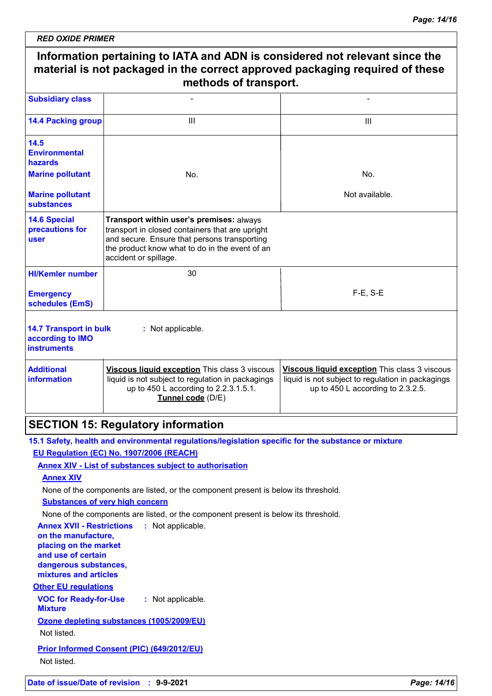|                                                                                                                                                                                                                                                                              | Information pertaining to IATA and ADN is considered not relevant since the<br>material is not packaged in the correct approved packaging required of these<br>methods of transport.                                                                                                                                                                                                                                                                                                                                             |                                                                                                                                         |  |  |
|------------------------------------------------------------------------------------------------------------------------------------------------------------------------------------------------------------------------------------------------------------------------------|----------------------------------------------------------------------------------------------------------------------------------------------------------------------------------------------------------------------------------------------------------------------------------------------------------------------------------------------------------------------------------------------------------------------------------------------------------------------------------------------------------------------------------|-----------------------------------------------------------------------------------------------------------------------------------------|--|--|
| <b>Subsidiary class</b>                                                                                                                                                                                                                                                      |                                                                                                                                                                                                                                                                                                                                                                                                                                                                                                                                  |                                                                                                                                         |  |  |
| <b>14.4 Packing group</b>                                                                                                                                                                                                                                                    | III                                                                                                                                                                                                                                                                                                                                                                                                                                                                                                                              | Ш                                                                                                                                       |  |  |
| 14.5<br><b>Environmental</b><br><b>hazards</b>                                                                                                                                                                                                                               |                                                                                                                                                                                                                                                                                                                                                                                                                                                                                                                                  |                                                                                                                                         |  |  |
| <b>Marine pollutant</b>                                                                                                                                                                                                                                                      | No.                                                                                                                                                                                                                                                                                                                                                                                                                                                                                                                              | No.                                                                                                                                     |  |  |
| <b>Marine pollutant</b><br><b>substances</b>                                                                                                                                                                                                                                 |                                                                                                                                                                                                                                                                                                                                                                                                                                                                                                                                  | Not available.                                                                                                                          |  |  |
| <b>14.6 Special</b><br>precautions for<br>user                                                                                                                                                                                                                               | Transport within user's premises: always<br>transport in closed containers that are upright<br>and secure. Ensure that persons transporting<br>the product know what to do in the event of an<br>accident or spillage.                                                                                                                                                                                                                                                                                                           |                                                                                                                                         |  |  |
| <b>HI/Kemler number</b>                                                                                                                                                                                                                                                      | 30                                                                                                                                                                                                                                                                                                                                                                                                                                                                                                                               |                                                                                                                                         |  |  |
| <b>Emergency</b><br>schedules (EmS)                                                                                                                                                                                                                                          |                                                                                                                                                                                                                                                                                                                                                                                                                                                                                                                                  | $F-E$ , S-E                                                                                                                             |  |  |
| <b>14.7 Transport in bulk</b><br>according to IMO<br><b>instruments</b><br><b>Additional</b><br>information                                                                                                                                                                  | : Not applicable.<br>Viscous liquid exception This class 3 viscous<br>liquid is not subject to regulation in packagings<br>up to 450 L according to 2.2.3.1.5.1.<br>Tunnel code (D/E)                                                                                                                                                                                                                                                                                                                                            | Viscous liquid exception This class 3 viscous<br>liquid is not subject to regulation in packagings<br>up to 450 L according to 2.3.2.5. |  |  |
|                                                                                                                                                                                                                                                                              | <b>SECTION 15: Regulatory information</b>                                                                                                                                                                                                                                                                                                                                                                                                                                                                                        |                                                                                                                                         |  |  |
| <b>Annex XIV</b><br><b>Annex XVII - Restrictions</b><br>on the manufacture,<br>placing on the market<br>and use of certain<br>dangerous substances,<br>mixtures and articles<br><b>Other EU regulations</b><br><b>VOC for Ready-for-Use</b><br><b>Mixture</b><br>Not listed. | 15.1 Safety, health and environmental regulations/legislation specific for the substance or mixture<br>EU Regulation (EC) No. 1907/2006 (REACH)<br><b>Annex XIV - List of substances subject to authorisation</b><br>None of the components are listed, or the component present is below its threshold.<br><b>Substances of very high concern</b><br>None of the components are listed, or the component present is below its threshold.<br>: Not applicable.<br>: Not applicable.<br>Ozone depleting substances (1005/2009/EU) |                                                                                                                                         |  |  |
| Not listed.                                                                                                                                                                                                                                                                  | Prior Informed Consent (PIC) (649/2012/EU)                                                                                                                                                                                                                                                                                                                                                                                                                                                                                       |                                                                                                                                         |  |  |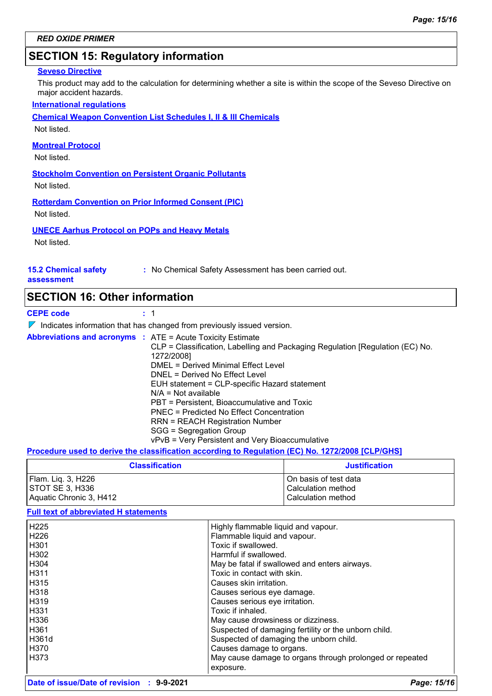# **SECTION 15: Regulatory information**

#### **Seveso Directive**

This product may add to the calculation for determining whether a site is within the scope of the Seveso Directive on major accident hazards.

#### **International regulations**

**Chemical Weapon Convention List Schedules I, II & III Chemicals**

Not listed.

#### **Montreal Protocol**

Not listed.

**Stockholm Convention on Persistent Organic Pollutants**

Not listed.

**Rotterdam Convention on Prior Informed Consent (PIC)** Not listed.

#### **UNECE Aarhus Protocol on POPs and Heavy Metals**

Not listed.

## **15.2 Chemical safety**

**:** No Chemical Safety Assessment has been carried out.

#### **assessment**

### **SECTION 16: Other information**

**CEPE code :** 1

 $\nabla$  Indicates information that has changed from previously issued version.

|  | <b>Abbreviations and acronyms : ATE = Acute Toxicity Estimate</b>             |
|--|-------------------------------------------------------------------------------|
|  | CLP = Classification, Labelling and Packaging Regulation [Regulation (EC) No. |
|  | 1272/2008]                                                                    |
|  | DMEL = Derived Minimal Effect Level                                           |
|  | DNEL = Derived No Effect Level                                                |
|  | EUH statement = CLP-specific Hazard statement                                 |
|  | $N/A = Not available$                                                         |
|  | PBT = Persistent, Bioaccumulative and Toxic                                   |
|  | PNEC = Predicted No Effect Concentration                                      |
|  | RRN = REACH Registration Number                                               |
|  | SGG = Segregation Group                                                       |
|  | vPvB = Very Persistent and Very Bioaccumulative                               |
|  |                                                                               |

#### **Procedure used to derive the classification according to Regulation (EC) No. 1272/2008 [CLP/GHS]**

| <b>Classification</b>   | <b>Justification</b>  |
|-------------------------|-----------------------|
| Flam. Liq. 3, H226      | On basis of test data |
| ISTOT SE 3. H336        | l Calculation method  |
| Aquatic Chronic 3, H412 | Calculation method    |

#### **Full text of abbreviated H statements**

| H <sub>225</sub> | Highly flammable liquid and vapour.                      |
|------------------|----------------------------------------------------------|
| H <sub>226</sub> | Flammable liquid and vapour.                             |
| H <sub>301</sub> | Toxic if swallowed.                                      |
| H302             | Harmful if swallowed.                                    |
| H304             | May be fatal if swallowed and enters airways.            |
| H311             | Toxic in contact with skin.                              |
| H315             | Causes skin irritation.                                  |
| H318             | Causes serious eye damage.                               |
| H319             | Causes serious eye irritation.                           |
| H331             | Toxic if inhaled.                                        |
| H336             | May cause drowsiness or dizziness.                       |
| H <sub>361</sub> | Suspected of damaging fertility or the unborn child.     |
| H361d            | Suspected of damaging the unborn child.                  |
| H370             | Causes damage to organs.                                 |
| H373             | May cause damage to organs through prolonged or repeated |
|                  | exposure.                                                |